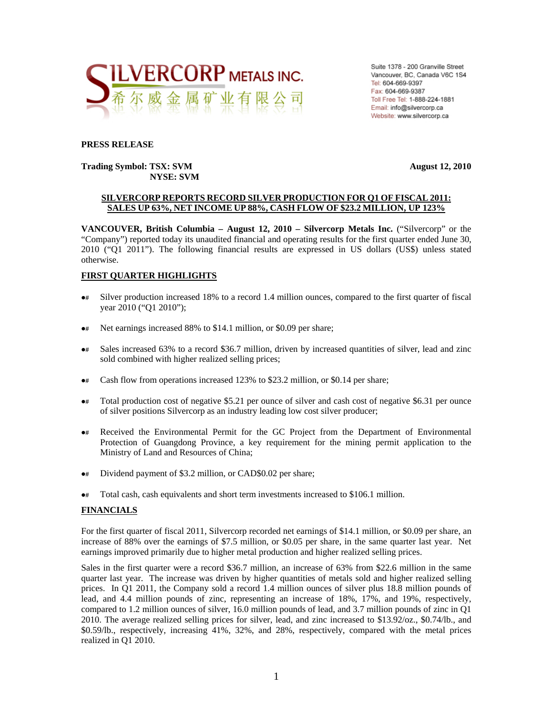

Suite 1378 - 200 Granville Street Vancouver, BC, Canada V6C 1S4 Tel: 604-669-9397 Fax: 604-669-9387 Toll Free Tel: 1-888-224-1881 Email: info@silvercorp.ca Website: www.silvercorp.ca

#### **PRESS RELEASE**

#### **Trading Symbol: TSX: SVM August 12, 2010 NYSE: SVM**

#### **SILVERCORP REPORTS RECORD SILVER PRODUCTION FOR Q1 OF FISCAL 2011: SALES UP 63%, NET INCOME UP 88%, CASH FLOW OF \$23.2 MILLION, UP 123%**

**VANCOUVER, British Columbia – August 12, 2010 – Silvercorp Metals Inc.** ("Silvercorp" or the "Company") reported today its unaudited financial and operating results for the first quarter ended June 30, 2010 ("Q1 2011"). The following financial results are expressed in US dollars (US\$) unless stated otherwise.

#### **FIRST QUARTER HIGHLIGHTS**

- $\bullet$  Silver production increased 18% to a record 1.4 million ounces, compared to the first quarter of fiscal year 2010 ("Q1 2010");
- $\bullet$  Net earnings increased 88% to \$14.1 million, or \$0.09 per share;
- $\bullet$  Sales increased 63% to a record \$36.7 million, driven by increased quantities of silver, lead and zinc sold combined with higher realized selling prices;
- $\bullet$ # Cash flow from operations increased 123% to \$23.2 million, or \$0.14 per share;
- $\bullet$  Total production cost of negative \$5.21 per ounce of silver and cash cost of negative \$6.31 per ounce of silver positions Silvercorp as an industry leading low cost silver producer;
- $\bullet$  Received the Environmental Permit for the GC Project from the Department of Environmental Protection of Guangdong Province, a key requirement for the mining permit application to the Ministry of Land and Resources of China;
- $\bullet$  Dividend payment of \$3.2 million, or CAD\$0.02 per share;
- $\bullet \ast$  Total cash, cash equivalents and short term investments increased to \$106.1 million.

#### **FINANCIALS**

For the first quarter of fiscal 2011, Silvercorp recorded net earnings of \$14.1 million, or \$0.09 per share, an increase of 88% over the earnings of \$7.5 million, or \$0.05 per share, in the same quarter last year. Net earnings improved primarily due to higher metal production and higher realized selling prices.

Sales in the first quarter were a record \$36.7 million, an increase of 63% from \$22.6 million in the same quarter last year. The increase was driven by higher quantities of metals sold and higher realized selling prices. In Q1 2011, the Company sold a record 1.4 million ounces of silver plus 18.8 million pounds of lead, and 4.4 million pounds of zinc, representing an increase of 18%, 17%, and 19%, respectively, compared to 1.2 million ounces of silver, 16.0 million pounds of lead, and 3.7 million pounds of zinc in Q1 2010. The average realized selling prices for silver, lead, and zinc increased to \$13.92/oz., \$0.74/lb., and \$0.59/lb., respectively, increasing 41%, 32%, and 28%, respectively, compared with the metal prices realized in Q1 2010.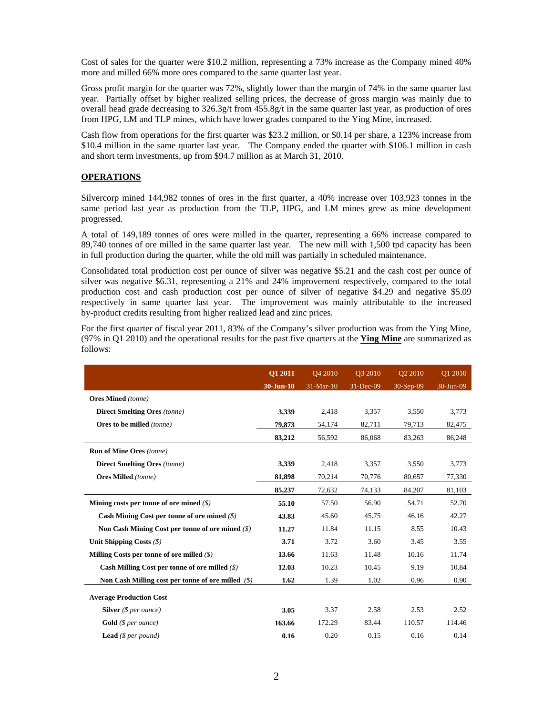Cost of sales for the quarter were \$10.2 million, representing a 73% increase as the Company mined 40% more and milled 66% more ores compared to the same quarter last year.

Gross profit margin for the quarter was 72%, slightly lower than the margin of 74% in the same quarter last year. Partially offset by higher realized selling prices, the decrease of gross margin was mainly due to overall head grade decreasing to 326.3g/t from 455.8g/t in the same quarter last year, as production of ores from HPG, LM and TLP mines, which have lower grades compared to the Ying Mine, increased.

Cash flow from operations for the first quarter was \$23.2 million, or \$0.14 per share, a 123% increase from \$10.4 million in the same quarter last year. The Company ended the quarter with \$106.1 million in cash and short term investments, up from \$94.7 million as at March 31, 2010.

#### **OPERATIONS**

Silvercorp mined 144,982 tonnes of ores in the first quarter, a 40% increase over 103,923 tonnes in the same period last year as production from the TLP, HPG, and LM mines grew as mine development progressed.

A total of 149,189 tonnes of ores were milled in the quarter, representing a 66% increase compared to 89,740 tonnes of ore milled in the same quarter last year. The new mill with 1,500 tpd capacity has been in full production during the quarter, while the old mill was partially in scheduled maintenance.

Consolidated total production cost per ounce of silver was negative \$5.21 and the cash cost per ounce of silver was negative \$6.31, representing a 21% and 24% improvement respectively, compared to the total production cost and cash production cost per ounce of silver of negative \$4.29 and negative \$5.09 respectively in same quarter last year. The improvement was mainly attributable to the increased by-product credits resulting from higher realized lead and zinc prices.

For the first quarter of fiscal year 2011, 83% of the Company's silver production was from the Ying Mine, (97% in Q1 2010) and the operational results for the past five quarters at the **Ying Mine** are summarized as follows:

|                                                         | Q1 2011<br>$30 - Jun-10$ | O <sub>4</sub> 2010<br>31-Mar-10 | O3 2010<br>31-Dec-09 | O <sub>2</sub> 2010<br>$30-Sep-09$ | Q1 2010<br>30-Jun-09 |
|---------------------------------------------------------|--------------------------|----------------------------------|----------------------|------------------------------------|----------------------|
| <b>Ores Mined</b> (tonne)                               |                          |                                  |                      |                                    |                      |
| <b>Direct Smelting Ores</b> (tonne)                     | 3,339                    | 2,418                            | 3,357                | 3,550                              | 3,773                |
| Ores to be milled (tonne)                               | 79,873                   | 54,174                           | 82,711               | 79,713                             | 82,475               |
|                                                         | 83,212                   | 56,592                           | 86,068               | 83,263                             | 86,248               |
| <b>Run of Mine Ores (tonne)</b>                         |                          |                                  |                      |                                    |                      |
| <b>Direct Smelting Ores (tonne)</b>                     | 3,339                    | 2,418                            | 3,357                | 3,550                              | 3,773                |
| <b>Ores Milled</b> (tonne)                              | 81,898                   | 70,214                           | 70,776               | 80,657                             | 77,330               |
|                                                         | 85,237                   | 72,632                           | 74,133               | 84,207                             | 81,103               |
| Mining costs per tonne of ore mined $(\$)$              | 55.10                    | 57.50                            | 56.90                | 54.71                              | 52.70                |
| Cash Mining Cost per tonne of ore mined $(\$)$          | 43.83                    | 45.60                            | 45.75                | 46.16                              | 42.27                |
| Non Cash Mining Cost per tonne of ore mined $(\hat{S})$ | 11.27                    | 11.84                            | 11.15                | 8.55                               | 10.43                |
| Unit Shipping Costs $(\$)$                              | 3.71                     | 3.72                             | 3.60                 | 3.45                               | 3.55                 |
| Milling Costs per tonne of ore milled $(\$)$            | 13.66                    | 11.63                            | 11.48                | 10.16                              | 11.74                |
| Cash Milling Cost per tonne of ore milled $(\$)$        | 12.03                    | 10.23                            | 10.45                | 9.19                               | 10.84                |
| Non Cash Milling cost per tonne of ore milled $(\$)$    | 1.62                     | 1.39                             | 1.02                 | 0.96                               | 0.90                 |
| <b>Average Production Cost</b>                          |                          |                                  |                      |                                    |                      |
| <b>Silver</b> ( $$ per ounce$ )                         | 3.05                     | 3.37                             | 2.58                 | 2.53                               | 2.52                 |
| <b>Gold</b> ( $$per ounce$ )                            | 163.66                   | 172.29                           | 83.44                | 110.57                             | 114.46               |
| <b>Lead</b> ( $$per pound$ )                            | 0.16                     | 0.20                             | 0.15                 | 0.16                               | 0.14                 |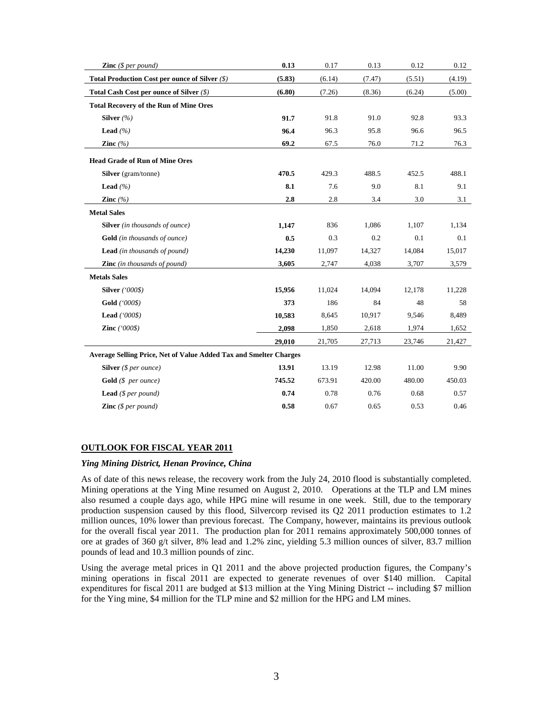| <b>Zinc</b> ( $$per pound$ )                                             | 0.13   | 0.17   | 0.13   | 0.12   | 0.12   |
|--------------------------------------------------------------------------|--------|--------|--------|--------|--------|
| Total Production Cost per ounce of Silver (\$)                           | (5.83) | (6.14) | (7.47) | (5.51) | (4.19) |
| Total Cash Cost per ounce of Silver $(\$)$                               | (6.80) | (7.26) | (8.36) | (6.24) | (5.00) |
| <b>Total Recovery of the Run of Mine Ores</b>                            |        |        |        |        |        |
| Silver $(%$                                                              | 91.7   | 91.8   | 91.0   | 92.8   | 93.3   |
| Lead $(%$                                                                | 96.4   | 96.3   | 95.8   | 96.6   | 96.5   |
| Zinc $(\% )$                                                             | 69.2   | 67.5   | 76.0   | 71.2   | 76.3   |
| <b>Head Grade of Run of Mine Ores</b>                                    |        |        |        |        |        |
| Silver (gram/tonne)                                                      | 470.5  | 429.3  | 488.5  | 452.5  | 488.1  |
| Lead $(%$                                                                | 8.1    | 7.6    | 9.0    | 8.1    | 9.1    |
| Zinc $(%$                                                                | 2.8    | 2.8    | 3.4    | 3.0    | 3.1    |
| <b>Metal Sales</b>                                                       |        |        |        |        |        |
| <b>Silver</b> (in thousands of ounce)                                    | 1,147  | 836    | 1,086  | 1,107  | 1,134  |
| <b>Gold</b> (in thousands of ounce)                                      | 0.5    | 0.3    | 0.2    | 0.1    | 0.1    |
| <b>Lead</b> (in thousands of pound)                                      | 14,230 | 11,097 | 14,327 | 14,084 | 15,017 |
| <b>Zinc</b> (in thousands of pound)                                      | 3,605  | 2,747  | 4,038  | 3,707  | 3,579  |
| <b>Metals Sales</b>                                                      |        |        |        |        |        |
| <b>Silver</b> ('000\$)                                                   | 15,956 | 11,024 | 14,094 | 12,178 | 11,228 |
| Gold ('000\$)                                                            | 373    | 186    | 84     | 48     | 58     |
| Lead $(000\$                                                             | 10,583 | 8,645  | 10,917 | 9,546  | 8,489  |
| Zinc $(000\$                                                             | 2,098  | 1,850  | 2,618  | 1,974  | 1,652  |
|                                                                          | 29,010 | 21,705 | 27,713 | 23,746 | 21,427 |
| <b>Average Selling Price, Net of Value Added Tax and Smelter Charges</b> |        |        |        |        |        |
| Silver $(§ per ounce)$                                                   | 13.91  | 13.19  | 12.98  | 11.00  | 9.90   |
| Gold (\$ per ounce)                                                      | 745.52 | 673.91 | 420.00 | 480.00 | 450.03 |
| <b>Lead</b> ( $$per pound$ )                                             | 0.74   | 0.78   | 0.76   | 0.68   | 0.57   |
| <b>Zinc</b> ( $$per pound$ )                                             | 0.58   | 0.67   | 0.65   | 0.53   | 0.46   |

#### **OUTLOOK FOR FISCAL YEAR 2011**

#### *Ying Mining District, Henan Province, China*

As of date of this news release, the recovery work from the July 24, 2010 flood is substantially completed. Mining operations at the Ying Mine resumed on August 2, 2010. Operations at the TLP and LM mines also resumed a couple days ago, while HPG mine will resume in one week. Still, due to the temporary production suspension caused by this flood, Silvercorp revised its Q2 2011 production estimates to 1.2 million ounces, 10% lower than previous forecast. The Company, however, maintains its previous outlook for the overall fiscal year 2011. The production plan for 2011 remains approximately 500,000 tonnes of ore at grades of 360 g/t silver, 8% lead and 1.2% zinc, yielding 5.3 million ounces of silver, 83.7 million pounds of lead and 10.3 million pounds of zinc.

Using the average metal prices in Q1 2011 and the above projected production figures, the Company's mining operations in fiscal 2011 are expected to generate revenues of over \$140 million. Capital expenditures for fiscal 2011 are budged at \$13 million at the Ying Mining District -- including \$7 million for the Ying mine, \$4 million for the TLP mine and \$2 million for the HPG and LM mines.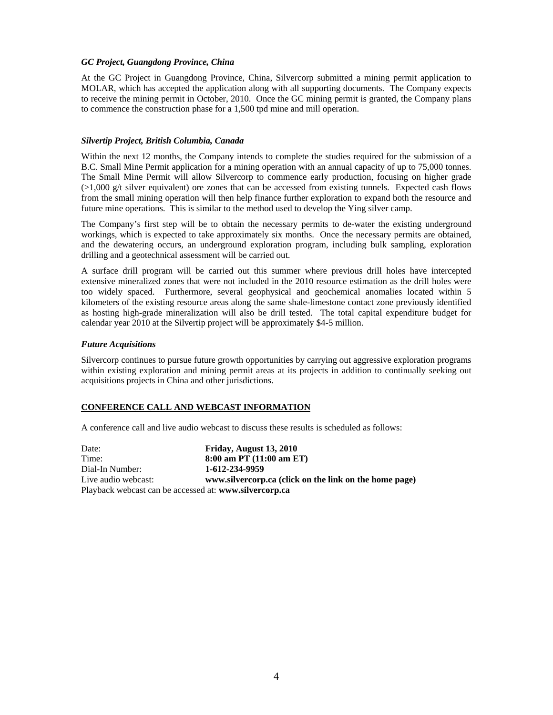#### *GC Project, Guangdong Province, China*

At the GC Project in Guangdong Province, China, Silvercorp submitted a mining permit application to MOLAR, which has accepted the application along with all supporting documents. The Company expects to receive the mining permit in October, 2010. Once the GC mining permit is granted, the Company plans to commence the construction phase for a 1,500 tpd mine and mill operation.

#### *Silvertip Project, British Columbia, Canada*

Within the next 12 months, the Company intends to complete the studies required for the submission of a B.C. Small Mine Permit application for a mining operation with an annual capacity of up to 75,000 tonnes. The Small Mine Permit will allow Silvercorp to commence early production, focusing on higher grade  $(>1,000 \text{ g/t}$  silver equivalent) ore zones that can be accessed from existing tunnels. Expected cash flows from the small mining operation will then help finance further exploration to expand both the resource and future mine operations. This is similar to the method used to develop the Ying silver camp.

The Company's first step will be to obtain the necessary permits to de-water the existing underground workings, which is expected to take approximately six months. Once the necessary permits are obtained, and the dewatering occurs, an underground exploration program, including bulk sampling, exploration drilling and a geotechnical assessment will be carried out.

A surface drill program will be carried out this summer where previous drill holes have intercepted extensive mineralized zones that were not included in the 2010 resource estimation as the drill holes were too widely spaced. Furthermore, several geophysical and geochemical anomalies located within 5 kilometers of the existing resource areas along the same shale-limestone contact zone previously identified as hosting high-grade mineralization will also be drill tested. The total capital expenditure budget for calendar year 2010 at the Silvertip project will be approximately \$4-5 million.

#### *Future Acquisitions*

Silvercorp continues to pursue future growth opportunities by carrying out aggressive exploration programs within existing exploration and mining permit areas at its projects in addition to continually seeking out acquisitions projects in China and other jurisdictions.

#### **CONFERENCE CALL AND WEBCAST INFORMATION**

A conference call and live audio webcast to discuss these results is scheduled as follows:

| Date:                                                  | Friday, August 13, 2010                                |
|--------------------------------------------------------|--------------------------------------------------------|
| Time:                                                  | $8:00$ am PT $(11:00$ am ET)                           |
| Dial-In Number:                                        | 1-612-234-9959                                         |
| Live audio webcast:                                    | www.silvercorp.ca (click on the link on the home page) |
| Playback webcast can be accessed at: www.silvercorp.ca |                                                        |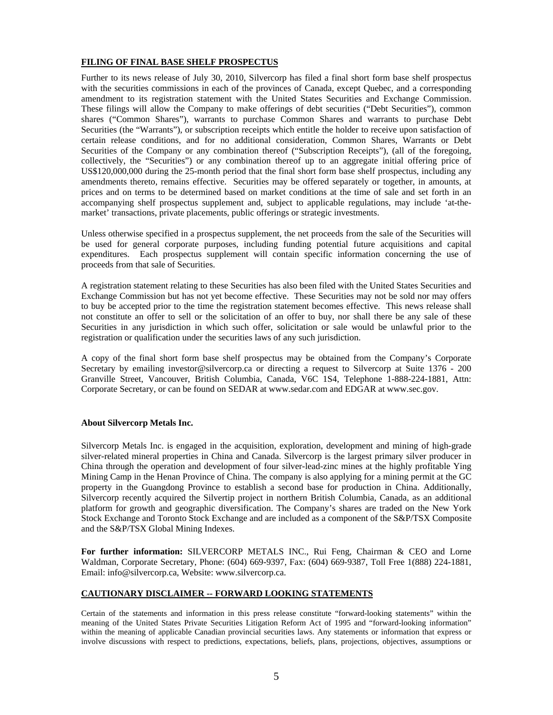#### **FILING OF FINAL BASE SHELF PROSPECTUS**

Further to its news release of July 30, 2010, Silvercorp has filed a final short form base shelf prospectus with the securities commissions in each of the provinces of Canada, except Quebec, and a corresponding amendment to its registration statement with the United States Securities and Exchange Commission. These filings will allow the Company to make offerings of debt securities ("Debt Securities"), common shares ("Common Shares"), warrants to purchase Common Shares and warrants to purchase Debt Securities (the "Warrants"), or subscription receipts which entitle the holder to receive upon satisfaction of certain release conditions, and for no additional consideration, Common Shares, Warrants or Debt Securities of the Company or any combination thereof ("Subscription Receipts"), (all of the foregoing, collectively, the "Securities") or any combination thereof up to an aggregate initial offering price of US\$120,000,000 during the 25-month period that the final short form base shelf prospectus, including any amendments thereto, remains effective. Securities may be offered separately or together, in amounts, at prices and on terms to be determined based on market conditions at the time of sale and set forth in an accompanying shelf prospectus supplement and, subject to applicable regulations, may include 'at-themarket' transactions, private placements, public offerings or strategic investments.

Unless otherwise specified in a prospectus supplement, the net proceeds from the sale of the Securities will be used for general corporate purposes, including funding potential future acquisitions and capital expenditures. Each prospectus supplement will contain specific information concerning the use of proceeds from that sale of Securities.

A registration statement relating to these Securities has also been filed with the United States Securities and Exchange Commission but has not yet become effective. These Securities may not be sold nor may offers to buy be accepted prior to the time the registration statement becomes effective. This news release shall not constitute an offer to sell or the solicitation of an offer to buy, nor shall there be any sale of these Securities in any jurisdiction in which such offer, solicitation or sale would be unlawful prior to the registration or qualification under the securities laws of any such jurisdiction.

A copy of the final short form base shelf prospectus may be obtained from the Company's Corporate Secretary by emailing investor@silvercorp.ca or directing a request to Silvercorp at Suite 1376 - 200 Granville Street, Vancouver, British Columbia, Canada, V6C 1S4, Telephone 1-888-224-1881, Attn: Corporate Secretary, or can be found on SEDAR at www.sedar.com and EDGAR at www.sec.gov.

#### **About Silvercorp Metals Inc.**

Silvercorp Metals Inc. is engaged in the acquisition, exploration, development and mining of high-grade silver-related mineral properties in China and Canada. Silvercorp is the largest primary silver producer in China through the operation and development of four silver-lead-zinc mines at the highly profitable Ying Mining Camp in the Henan Province of China. The company is also applying for a mining permit at the GC property in the Guangdong Province to establish a second base for production in China. Additionally, Silvercorp recently acquired the Silvertip project in northern British Columbia, Canada, as an additional platform for growth and geographic diversification. The Company's shares are traded on the New York Stock Exchange and Toronto Stock Exchange and are included as a component of the S&P/TSX Composite and the S&P/TSX Global Mining Indexes.

**For further information:** SILVERCORP METALS INC., Rui Feng, Chairman & CEO and Lorne Waldman, Corporate Secretary, Phone: (604) 669-9397, Fax: (604) 669-9387, Toll Free 1(888) 224-1881, Email: info@silvercorp.ca, Website: www.silvercorp.ca.

#### **CAUTIONARY DISCLAIMER -- FORWARD LOOKING STATEMENTS**

Certain of the statements and information in this press release constitute "forward-looking statements" within the meaning of the United States Private Securities Litigation Reform Act of 1995 and "forward-looking information" within the meaning of applicable Canadian provincial securities laws. Any statements or information that express or involve discussions with respect to predictions, expectations, beliefs, plans, projections, objectives, assumptions or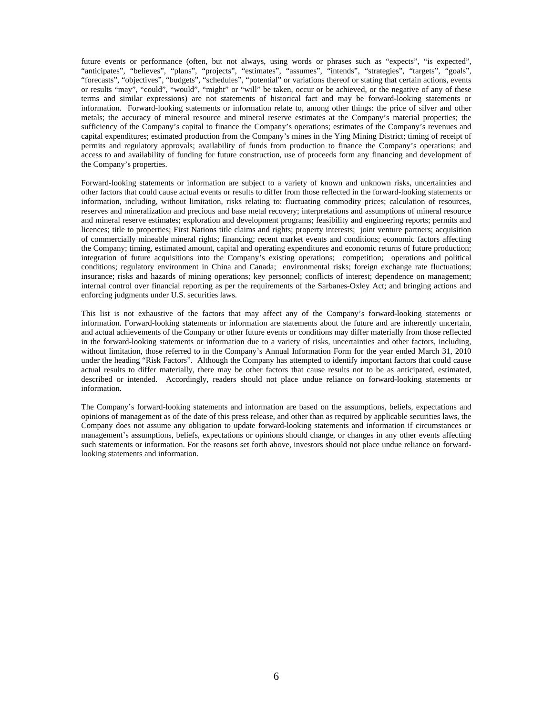future events or performance (often, but not always, using words or phrases such as "expects", "is expected", "anticipates", "believes", "plans", "projects", "estimates", "assumes", "intends", "strategies", "targets", "goals", "forecasts", "objectives", "budgets", "schedules", "potential" or variations thereof or stating that certain actions, events or results "may", "could", "would", "might" or "will" be taken, occur or be achieved, or the negative of any of these terms and similar expressions) are not statements of historical fact and may be forward-looking statements or information. Forward-looking statements or information relate to, among other things: the price of silver and other metals; the accuracy of mineral resource and mineral reserve estimates at the Company's material properties; the sufficiency of the Company's capital to finance the Company's operations; estimates of the Company's revenues and capital expenditures; estimated production from the Company's mines in the Ying Mining District; timing of receipt of permits and regulatory approvals; availability of funds from production to finance the Company's operations; and access to and availability of funding for future construction, use of proceeds form any financing and development of the Company's properties.

Forward-looking statements or information are subject to a variety of known and unknown risks, uncertainties and other factors that could cause actual events or results to differ from those reflected in the forward-looking statements or information, including, without limitation, risks relating to: fluctuating commodity prices; calculation of resources, reserves and mineralization and precious and base metal recovery; interpretations and assumptions of mineral resource and mineral reserve estimates; exploration and development programs; feasibility and engineering reports; permits and licences; title to properties; First Nations title claims and rights; property interests; joint venture partners; acquisition of commercially mineable mineral rights; financing; recent market events and conditions; economic factors affecting the Company; timing, estimated amount, capital and operating expenditures and economic returns of future production; integration of future acquisitions into the Company's existing operations; competition; operations and political conditions; regulatory environment in China and Canada; environmental risks; foreign exchange rate fluctuations; insurance; risks and hazards of mining operations; key personnel; conflicts of interest; dependence on management; internal control over financial reporting as per the requirements of the Sarbanes-Oxley Act; and bringing actions and enforcing judgments under U.S. securities laws.

This list is not exhaustive of the factors that may affect any of the Company's forward-looking statements or information. Forward-looking statements or information are statements about the future and are inherently uncertain, and actual achievements of the Company or other future events or conditions may differ materially from those reflected in the forward-looking statements or information due to a variety of risks, uncertainties and other factors, including, without limitation, those referred to in the Company's Annual Information Form for the year ended March 31, 2010 under the heading "Risk Factors". Although the Company has attempted to identify important factors that could cause actual results to differ materially, there may be other factors that cause results not to be as anticipated, estimated, described or intended. Accordingly, readers should not place undue reliance on forward-looking statements or information.

The Company's forward-looking statements and information are based on the assumptions, beliefs, expectations and opinions of management as of the date of this press release, and other than as required by applicable securities laws, the Company does not assume any obligation to update forward-looking statements and information if circumstances or management's assumptions, beliefs, expectations or opinions should change, or changes in any other events affecting such statements or information. For the reasons set forth above, investors should not place undue reliance on forwardlooking statements and information.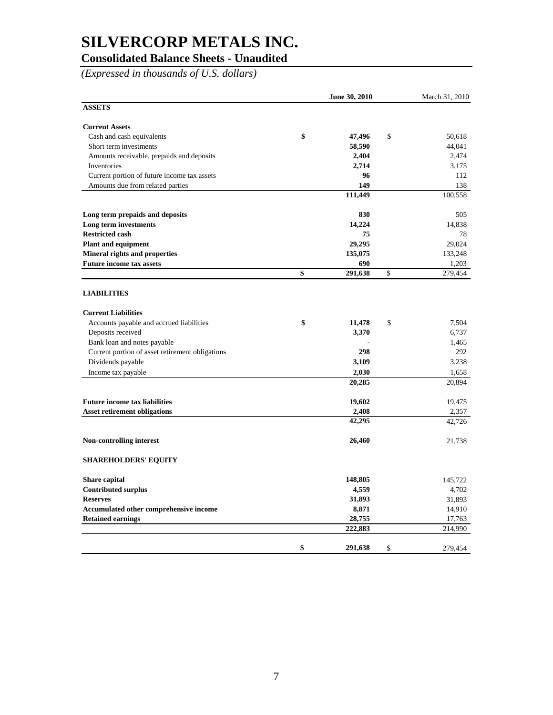### **Consolidated Balance Sheets - Unaudited**

*(Expressed in thousands of U.S. dollars)*

|                                                 | June 30, 2010 | March 31, 2010 |
|-------------------------------------------------|---------------|----------------|
| <b>ASSETS</b>                                   |               |                |
| <b>Current Assets</b>                           |               |                |
| Cash and cash equivalents                       | \$<br>47,496  | \$<br>50.618   |
| Short term investments                          | 58,590        | 44,041         |
| Amounts receivable, prepaids and deposits       | 2,404         | 2,474          |
| Inventories                                     | 2,714         | 3,175          |
| Current portion of future income tax assets     | 96            | 112            |
| Amounts due from related parties                | 149           | 138            |
|                                                 | 111,449       | 100,558        |
| Long term prepaids and deposits                 | 830           | 505            |
| Long term investments                           | 14,224        | 14,838         |
| <b>Restricted cash</b>                          | 75            | 78             |
| <b>Plant and equipment</b>                      | 29,295        | 29.024         |
| <b>Mineral rights and properties</b>            | 135,075       | 133,248        |
| <b>Future income tax assets</b>                 | 690           | 1,203          |
|                                                 | \$<br>291,638 | \$<br>279,454  |
| <b>LIABILITIES</b>                              |               |                |
| <b>Current Liabilities</b>                      |               |                |
| Accounts payable and accrued liabilities        | \$<br>11,478  | \$<br>7,504    |
| Deposits received                               | 3,370         | 6,737          |
| Bank loan and notes payable                     |               | 1,465          |
| Current portion of asset retirement obligations | 298           | 292            |
| Dividends payable                               | 3,109         | 3,238          |
| Income tax payable                              | 2,030         | 1,658          |
|                                                 | 20,285        | 20,894         |
| <b>Future income tax liabilities</b>            | 19,602        | 19,475         |
| <b>Asset retirement obligations</b>             | 2,408         | 2,357          |
|                                                 | 42,295        | 42,726         |
| Non-controlling interest                        | 26,460        | 21,738         |
| <b>SHAREHOLDERS' EQUITY</b>                     |               |                |
| Share capital                                   | 148,805       | 145,722        |
| <b>Contributed surplus</b>                      | 4,559         | 4,702          |
| <b>Reserves</b>                                 | 31,893        | 31,893         |
| Accumulated other comprehensive income          | 8,871         | 14,910         |
| <b>Retained earnings</b>                        | 28,755        | 17,763         |
|                                                 | 222,883       | 214,990        |
|                                                 | \$<br>291,638 | \$<br>279,454  |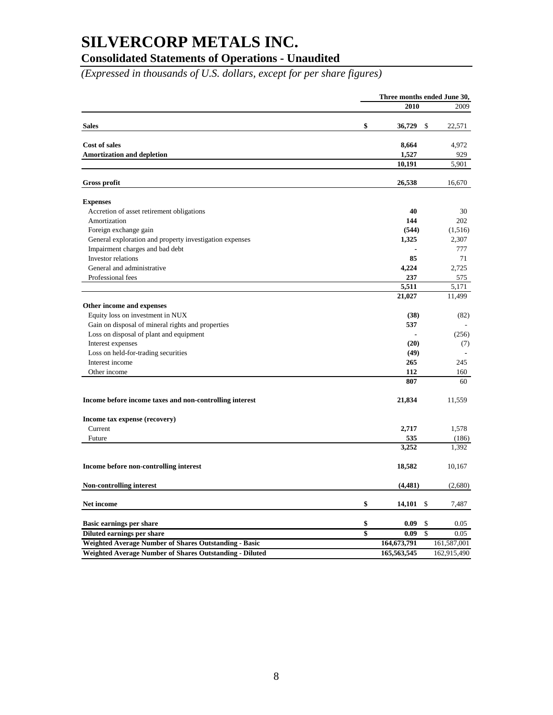### **Consolidated Statements of Operations - Unaudited**

*(Expressed in thousands of U.S. dollars, except for per share figures)*

|                                                         |                         | Three months ended June 30,     |              |  |
|---------------------------------------------------------|-------------------------|---------------------------------|--------------|--|
|                                                         |                         | 2010                            | 2009         |  |
|                                                         |                         |                                 |              |  |
| <b>Sales</b>                                            | \$                      | 36,729<br>\$                    | 22,571       |  |
| <b>Cost of sales</b>                                    |                         | 8,664                           | 4,972        |  |
| <b>Amortization and depletion</b>                       |                         | 1,527                           | 929          |  |
|                                                         |                         | 10,191                          | 5,901        |  |
| <b>Gross profit</b>                                     |                         | 26,538                          | 16,670       |  |
|                                                         |                         |                                 |              |  |
| <b>Expenses</b>                                         |                         |                                 |              |  |
| Accretion of asset retirement obligations               |                         | 40                              | 30           |  |
| Amortization                                            |                         | 144                             | 202          |  |
| Foreign exchange gain                                   |                         | (544)                           | (1,516)      |  |
| General exploration and property investigation expenses |                         | 1,325                           | 2,307        |  |
| Impairment charges and bad debt                         |                         |                                 | 777          |  |
| Investor relations                                      |                         | 85                              | 71           |  |
| General and administrative                              |                         | 4,224                           | 2,725        |  |
| Professional fees                                       |                         | 237<br>5,511                    | 575<br>5,171 |  |
|                                                         |                         | 21,027                          | 11,499       |  |
| Other income and expenses                               |                         |                                 |              |  |
| Equity loss on investment in NUX                        |                         | (38)                            | (82)         |  |
| Gain on disposal of mineral rights and properties       |                         | 537                             |              |  |
| Loss on disposal of plant and equipment                 |                         |                                 | (256)        |  |
| Interest expenses                                       |                         | (20)                            | (7)          |  |
| Loss on held-for-trading securities                     |                         | (49)                            |              |  |
| Interest income                                         |                         | 265                             | 245          |  |
| Other income                                            |                         | 112                             | 160          |  |
|                                                         |                         | 807                             | 60           |  |
|                                                         |                         |                                 |              |  |
| Income before income taxes and non-controlling interest |                         | 21,834                          | 11,559       |  |
| Income tax expense (recovery)                           |                         |                                 |              |  |
| Current                                                 |                         | 2,717                           | 1,578        |  |
| Future                                                  |                         | 535                             | (186)        |  |
|                                                         |                         | 3,252                           | 1,392        |  |
| Income before non-controlling interest                  |                         | 18,582                          | 10,167       |  |
| <b>Non-controlling interest</b>                         |                         | (4,481)                         | (2,680)      |  |
| Net income                                              | \$                      | 14,101<br>-\$                   | 7,487        |  |
| Basic earnings per share                                | \$                      | 0.09<br>\$                      | 0.05         |  |
| Diluted earnings per share                              | $\overline{\mathbf{s}}$ | $\overline{\mathbf{s}}$<br>0.09 | 0.05         |  |
| Weighted Average Number of Shares Outstanding - Basic   |                         | 164,673,791                     | 161,587,001  |  |
| Weighted Average Number of Shares Outstanding - Diluted |                         | 165,563,545                     | 162,915,490  |  |
|                                                         |                         |                                 |              |  |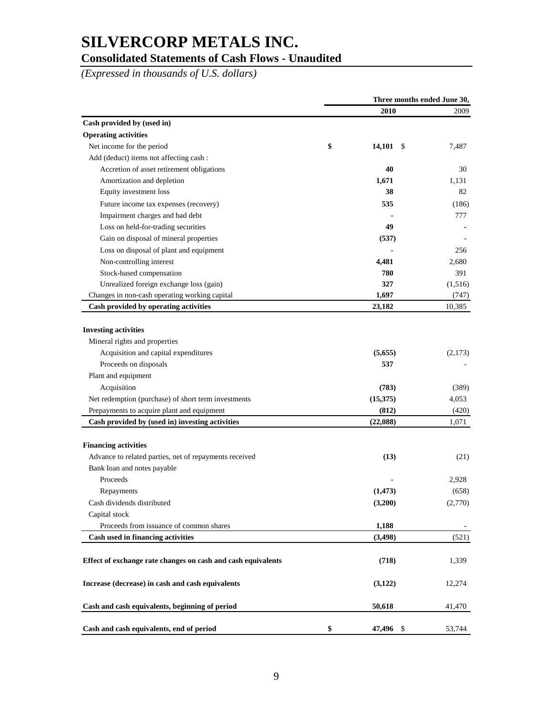### **Consolidated Statements of Cash Flows - Unaudited**

*(Expressed in thousands of U.S. dollars)*

|                                                              | Three months ended June 30, |                |         |
|--------------------------------------------------------------|-----------------------------|----------------|---------|
|                                                              |                             | 2010           | 2009    |
| Cash provided by (used in)                                   |                             |                |         |
| <b>Operating activities</b>                                  |                             |                |         |
| Net income for the period                                    | \$                          | 14,101<br>- \$ | 7,487   |
| Add (deduct) items not affecting cash:                       |                             |                |         |
| Accretion of asset retirement obligations                    |                             | 40             | 30      |
| Amortization and depletion                                   |                             | 1,671          | 1,131   |
| Equity investment loss                                       |                             | 38             | 82      |
| Future income tax expenses (recovery)                        |                             | 535            | (186)   |
| Impairment charges and bad debt                              |                             |                | 777     |
| Loss on held-for-trading securities                          |                             | 49             |         |
| Gain on disposal of mineral properties                       |                             | (537)          |         |
| Loss on disposal of plant and equipment                      |                             |                | 256     |
| Non-controlling interest                                     |                             | 4,481          | 2,680   |
| Stock-based compensation                                     |                             | 780            | 391     |
| Unrealized foreign exchange loss (gain)                      |                             | 327            | (1,516) |
| Changes in non-cash operating working capital                |                             | 1,697          | (747)   |
| Cash provided by operating activities                        |                             | 23,182         | 10,385  |
|                                                              |                             |                |         |
| <b>Investing activities</b>                                  |                             |                |         |
| Mineral rights and properties                                |                             |                |         |
| Acquisition and capital expenditures                         |                             | (5,655)        | (2,173) |
| Proceeds on disposals                                        |                             | 537            |         |
| Plant and equipment                                          |                             |                |         |
| Acquisition                                                  |                             | (783)          | (389)   |
| Net redemption (purchase) of short term investments          |                             | (15,375)       | 4,053   |
| Prepayments to acquire plant and equipment                   |                             | (812)          | (420)   |
| Cash provided by (used in) investing activities              |                             | (22,088)       | 1,071   |
| <b>Financing activities</b>                                  |                             |                |         |
| Advance to related parties, net of repayments received       |                             | (13)           | (21)    |
| Bank loan and notes payable                                  |                             |                |         |
| Proceeds                                                     |                             |                | 2,928   |
| Repayments                                                   |                             | (1, 473)       | (658)   |
| Cash dividends distributed                                   |                             | (3,200)        | (2,770) |
| Capital stock                                                |                             |                |         |
| Proceeds from issuance of common shares                      |                             | 1,188          |         |
| Cash used in financing activities                            |                             | (3, 498)       | (521)   |
|                                                              |                             |                |         |
| Effect of exchange rate changes on cash and cash equivalents |                             | (718)          | 1,339   |
| Increase (decrease) in cash and cash equivalents             |                             | (3,122)        | 12,274  |
|                                                              |                             |                |         |
| Cash and cash equivalents, beginning of period               |                             | 50,618         | 41,470  |
| Cash and cash equivalents, end of period                     | \$                          | 47,496 \$      | 53,744  |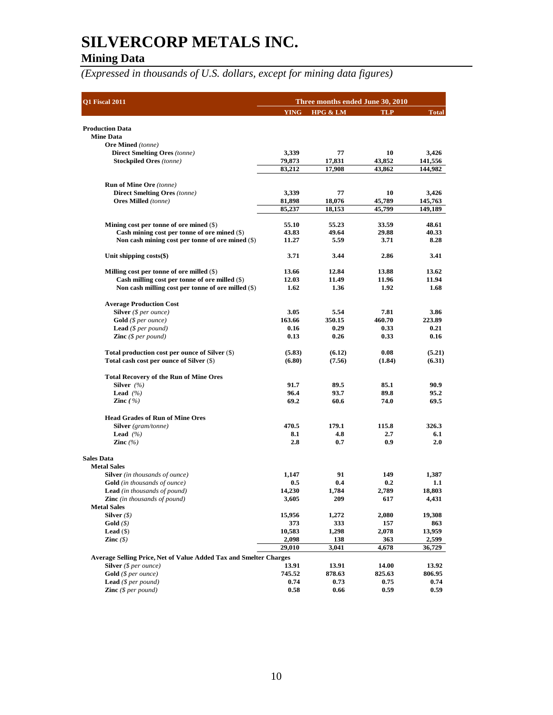### **Mining Data**

*(Expressed in thousands of U.S. dollars, except for mining data figures)*

| YING HPG & LM<br><b>TLP</b><br><b>Total</b><br><b>Production Data</b><br><b>Mine Data</b><br><b>Ore Mined</b> (tonne)<br><b>Direct Smelting Ores</b> (tonne)<br>3,339<br>3,426<br>77<br>10<br>43,852<br>141,556<br><b>Stockpiled Ores</b> (tonne)<br>79,873<br>17,831<br>83,212<br>17,908<br>43,862<br>144,982<br><b>Run of Mine Ore</b> (tonne)<br><b>Direct Smelting Ores</b> (tonne)<br>3,339<br>77<br>10<br>3,426<br><b>Ores Milled</b> (tonne)<br>81,898<br>18,076<br>45,789<br>145,763<br>85,237<br>18,153<br>45,799<br>149,189<br>Mining cost per tonne of ore mined $(\$)$<br>55.10<br>55.23<br>33.59<br>48.61<br>Cash mining cost per tonne of ore mined $(\$)$<br>49.64<br>29.88<br>40.33<br>43.83<br>5.59<br>Non cash mining cost per tonne of ore mined (\$)<br>3.71<br>8.28<br>11.27<br>3.71<br>3.44<br>2.86<br>3.41<br>Unit shipping $costs(\$)$<br>12.84<br>13.88<br>13.62<br>Milling cost per tonne of ore milled $(\$)$<br>13.66<br>11.49<br>11.94<br>Cash milling cost per tonne of ore milled $(\$)$<br>12.03<br>11.96<br>1.36<br>Non cash milling cost per tonne of ore milled (\$)<br>1.62<br>1.92<br>1.68<br><b>Average Production Cost</b><br>5.54<br>Silver (\$ per ounce)<br>3.05<br>7.81<br>3.86<br>163.66<br>460.70<br><b>Gold</b> ( $$per ounce$ )<br>350.15<br>223.89<br>0.29<br><b>Lead</b> ( $$per pound$ )<br>0.16<br>0.33<br>0.21<br><b>Zinc</b> $(\$ per pound)$<br>0.26<br>0.13<br>0.33<br>0.16<br>(6.12)<br>0.08<br>(5.21)<br>Total production cost per ounce of Silver (\$)<br>(5.83)<br>Total cash cost per ounce of Silver (\$)<br>(6.80)<br>(7.56)<br>(1.84)<br>(6.31)<br><b>Total Recovery of the Run of Mine Ores</b><br>91.7<br>Silver $(%$<br>89.5<br>85.1<br>90.9<br>96.4<br>89.8<br>95.2<br><b>Lead</b> $(%$<br>93.7<br>Zinc $(\% )$<br>69.2<br>60.6<br>74.0<br>69.5<br><b>Head Grades of Run of Mine Ores</b><br><b>Silver</b> (gram/tonne)<br>470.5<br>179.1<br>115.8<br>326.3<br><b>Lead</b> $(%$<br>8.1<br>4.8<br>2.7<br>6.1<br>2.8<br>0.7<br>0.9<br>2.0<br>Zinc $(\% )$<br><b>Sales Data</b><br><b>Metal Sales</b><br><b>Silver</b> (in thousands of ounce)<br>1,147<br>91<br>149<br>1,387<br>0.5<br>0.4<br>0.2<br>1.1<br><b>Gold</b> (in thousands of ounce)<br><b>Lead</b> (in thousands of pound)<br>14,230<br>1,784<br>2,789<br>18,803<br>209<br><b>Zinc</b> (in thousands of pound)<br>3,605<br>617<br>4,431<br><b>Metal Sales</b><br>Silver $(\$)$<br>15,956<br>1,272<br>2,080<br>19,308<br>373<br>333<br>Gold(S)<br>157<br>863<br>Lead $(\$)$<br>10,583<br>1,298<br>2,078<br>13,959<br>Zinc $(\$)$<br>2,098<br>138<br>363<br>2,599<br>29,010<br>3,041<br>4,678<br>36,729<br><b>Average Selling Price, Net of Value Added Tax and Smelter Charges</b><br><b>Silver</b> ( $$ per ounce$ )<br>13.91<br>13.91<br>14.00<br>13.92<br>$Gold$ ( $$$ per ounce)<br>745.52<br>878.63<br>825.63<br>806.95<br><b>Lead</b> $(S \text{ per pound})$<br>0.74<br>0.73<br>0.75<br>0.74<br><b>Zinc</b> $(\$ per pound)$<br>0.58<br>0.66<br>0.59<br>0.59 | Q1 Fiscal 2011 | Three months ended June 30, 2010 |  |  |  |  |
|-------------------------------------------------------------------------------------------------------------------------------------------------------------------------------------------------------------------------------------------------------------------------------------------------------------------------------------------------------------------------------------------------------------------------------------------------------------------------------------------------------------------------------------------------------------------------------------------------------------------------------------------------------------------------------------------------------------------------------------------------------------------------------------------------------------------------------------------------------------------------------------------------------------------------------------------------------------------------------------------------------------------------------------------------------------------------------------------------------------------------------------------------------------------------------------------------------------------------------------------------------------------------------------------------------------------------------------------------------------------------------------------------------------------------------------------------------------------------------------------------------------------------------------------------------------------------------------------------------------------------------------------------------------------------------------------------------------------------------------------------------------------------------------------------------------------------------------------------------------------------------------------------------------------------------------------------------------------------------------------------------------------------------------------------------------------------------------------------------------------------------------------------------------------------------------------------------------------------------------------------------------------------------------------------------------------------------------------------------------------------------------------------------------------------------------------------------------------------------------------------------------------------------------------------------------------------------------------------------------------------------------------------------------------------------------------------------------------------------------------------------------------------------------------------------------------------------------------------------------------------------------------------------------------------------------------------------------------------------------------------|----------------|----------------------------------|--|--|--|--|
|                                                                                                                                                                                                                                                                                                                                                                                                                                                                                                                                                                                                                                                                                                                                                                                                                                                                                                                                                                                                                                                                                                                                                                                                                                                                                                                                                                                                                                                                                                                                                                                                                                                                                                                                                                                                                                                                                                                                                                                                                                                                                                                                                                                                                                                                                                                                                                                                                                                                                                                                                                                                                                                                                                                                                                                                                                                                                                                                                                                                 |                |                                  |  |  |  |  |
|                                                                                                                                                                                                                                                                                                                                                                                                                                                                                                                                                                                                                                                                                                                                                                                                                                                                                                                                                                                                                                                                                                                                                                                                                                                                                                                                                                                                                                                                                                                                                                                                                                                                                                                                                                                                                                                                                                                                                                                                                                                                                                                                                                                                                                                                                                                                                                                                                                                                                                                                                                                                                                                                                                                                                                                                                                                                                                                                                                                                 |                |                                  |  |  |  |  |
|                                                                                                                                                                                                                                                                                                                                                                                                                                                                                                                                                                                                                                                                                                                                                                                                                                                                                                                                                                                                                                                                                                                                                                                                                                                                                                                                                                                                                                                                                                                                                                                                                                                                                                                                                                                                                                                                                                                                                                                                                                                                                                                                                                                                                                                                                                                                                                                                                                                                                                                                                                                                                                                                                                                                                                                                                                                                                                                                                                                                 |                |                                  |  |  |  |  |
|                                                                                                                                                                                                                                                                                                                                                                                                                                                                                                                                                                                                                                                                                                                                                                                                                                                                                                                                                                                                                                                                                                                                                                                                                                                                                                                                                                                                                                                                                                                                                                                                                                                                                                                                                                                                                                                                                                                                                                                                                                                                                                                                                                                                                                                                                                                                                                                                                                                                                                                                                                                                                                                                                                                                                                                                                                                                                                                                                                                                 |                |                                  |  |  |  |  |
|                                                                                                                                                                                                                                                                                                                                                                                                                                                                                                                                                                                                                                                                                                                                                                                                                                                                                                                                                                                                                                                                                                                                                                                                                                                                                                                                                                                                                                                                                                                                                                                                                                                                                                                                                                                                                                                                                                                                                                                                                                                                                                                                                                                                                                                                                                                                                                                                                                                                                                                                                                                                                                                                                                                                                                                                                                                                                                                                                                                                 |                |                                  |  |  |  |  |
|                                                                                                                                                                                                                                                                                                                                                                                                                                                                                                                                                                                                                                                                                                                                                                                                                                                                                                                                                                                                                                                                                                                                                                                                                                                                                                                                                                                                                                                                                                                                                                                                                                                                                                                                                                                                                                                                                                                                                                                                                                                                                                                                                                                                                                                                                                                                                                                                                                                                                                                                                                                                                                                                                                                                                                                                                                                                                                                                                                                                 |                |                                  |  |  |  |  |
|                                                                                                                                                                                                                                                                                                                                                                                                                                                                                                                                                                                                                                                                                                                                                                                                                                                                                                                                                                                                                                                                                                                                                                                                                                                                                                                                                                                                                                                                                                                                                                                                                                                                                                                                                                                                                                                                                                                                                                                                                                                                                                                                                                                                                                                                                                                                                                                                                                                                                                                                                                                                                                                                                                                                                                                                                                                                                                                                                                                                 |                |                                  |  |  |  |  |
|                                                                                                                                                                                                                                                                                                                                                                                                                                                                                                                                                                                                                                                                                                                                                                                                                                                                                                                                                                                                                                                                                                                                                                                                                                                                                                                                                                                                                                                                                                                                                                                                                                                                                                                                                                                                                                                                                                                                                                                                                                                                                                                                                                                                                                                                                                                                                                                                                                                                                                                                                                                                                                                                                                                                                                                                                                                                                                                                                                                                 |                |                                  |  |  |  |  |
|                                                                                                                                                                                                                                                                                                                                                                                                                                                                                                                                                                                                                                                                                                                                                                                                                                                                                                                                                                                                                                                                                                                                                                                                                                                                                                                                                                                                                                                                                                                                                                                                                                                                                                                                                                                                                                                                                                                                                                                                                                                                                                                                                                                                                                                                                                                                                                                                                                                                                                                                                                                                                                                                                                                                                                                                                                                                                                                                                                                                 |                |                                  |  |  |  |  |
|                                                                                                                                                                                                                                                                                                                                                                                                                                                                                                                                                                                                                                                                                                                                                                                                                                                                                                                                                                                                                                                                                                                                                                                                                                                                                                                                                                                                                                                                                                                                                                                                                                                                                                                                                                                                                                                                                                                                                                                                                                                                                                                                                                                                                                                                                                                                                                                                                                                                                                                                                                                                                                                                                                                                                                                                                                                                                                                                                                                                 |                |                                  |  |  |  |  |
|                                                                                                                                                                                                                                                                                                                                                                                                                                                                                                                                                                                                                                                                                                                                                                                                                                                                                                                                                                                                                                                                                                                                                                                                                                                                                                                                                                                                                                                                                                                                                                                                                                                                                                                                                                                                                                                                                                                                                                                                                                                                                                                                                                                                                                                                                                                                                                                                                                                                                                                                                                                                                                                                                                                                                                                                                                                                                                                                                                                                 |                |                                  |  |  |  |  |
|                                                                                                                                                                                                                                                                                                                                                                                                                                                                                                                                                                                                                                                                                                                                                                                                                                                                                                                                                                                                                                                                                                                                                                                                                                                                                                                                                                                                                                                                                                                                                                                                                                                                                                                                                                                                                                                                                                                                                                                                                                                                                                                                                                                                                                                                                                                                                                                                                                                                                                                                                                                                                                                                                                                                                                                                                                                                                                                                                                                                 |                |                                  |  |  |  |  |
|                                                                                                                                                                                                                                                                                                                                                                                                                                                                                                                                                                                                                                                                                                                                                                                                                                                                                                                                                                                                                                                                                                                                                                                                                                                                                                                                                                                                                                                                                                                                                                                                                                                                                                                                                                                                                                                                                                                                                                                                                                                                                                                                                                                                                                                                                                                                                                                                                                                                                                                                                                                                                                                                                                                                                                                                                                                                                                                                                                                                 |                |                                  |  |  |  |  |
|                                                                                                                                                                                                                                                                                                                                                                                                                                                                                                                                                                                                                                                                                                                                                                                                                                                                                                                                                                                                                                                                                                                                                                                                                                                                                                                                                                                                                                                                                                                                                                                                                                                                                                                                                                                                                                                                                                                                                                                                                                                                                                                                                                                                                                                                                                                                                                                                                                                                                                                                                                                                                                                                                                                                                                                                                                                                                                                                                                                                 |                |                                  |  |  |  |  |
|                                                                                                                                                                                                                                                                                                                                                                                                                                                                                                                                                                                                                                                                                                                                                                                                                                                                                                                                                                                                                                                                                                                                                                                                                                                                                                                                                                                                                                                                                                                                                                                                                                                                                                                                                                                                                                                                                                                                                                                                                                                                                                                                                                                                                                                                                                                                                                                                                                                                                                                                                                                                                                                                                                                                                                                                                                                                                                                                                                                                 |                |                                  |  |  |  |  |
|                                                                                                                                                                                                                                                                                                                                                                                                                                                                                                                                                                                                                                                                                                                                                                                                                                                                                                                                                                                                                                                                                                                                                                                                                                                                                                                                                                                                                                                                                                                                                                                                                                                                                                                                                                                                                                                                                                                                                                                                                                                                                                                                                                                                                                                                                                                                                                                                                                                                                                                                                                                                                                                                                                                                                                                                                                                                                                                                                                                                 |                |                                  |  |  |  |  |
|                                                                                                                                                                                                                                                                                                                                                                                                                                                                                                                                                                                                                                                                                                                                                                                                                                                                                                                                                                                                                                                                                                                                                                                                                                                                                                                                                                                                                                                                                                                                                                                                                                                                                                                                                                                                                                                                                                                                                                                                                                                                                                                                                                                                                                                                                                                                                                                                                                                                                                                                                                                                                                                                                                                                                                                                                                                                                                                                                                                                 |                |                                  |  |  |  |  |
|                                                                                                                                                                                                                                                                                                                                                                                                                                                                                                                                                                                                                                                                                                                                                                                                                                                                                                                                                                                                                                                                                                                                                                                                                                                                                                                                                                                                                                                                                                                                                                                                                                                                                                                                                                                                                                                                                                                                                                                                                                                                                                                                                                                                                                                                                                                                                                                                                                                                                                                                                                                                                                                                                                                                                                                                                                                                                                                                                                                                 |                |                                  |  |  |  |  |
|                                                                                                                                                                                                                                                                                                                                                                                                                                                                                                                                                                                                                                                                                                                                                                                                                                                                                                                                                                                                                                                                                                                                                                                                                                                                                                                                                                                                                                                                                                                                                                                                                                                                                                                                                                                                                                                                                                                                                                                                                                                                                                                                                                                                                                                                                                                                                                                                                                                                                                                                                                                                                                                                                                                                                                                                                                                                                                                                                                                                 |                |                                  |  |  |  |  |
|                                                                                                                                                                                                                                                                                                                                                                                                                                                                                                                                                                                                                                                                                                                                                                                                                                                                                                                                                                                                                                                                                                                                                                                                                                                                                                                                                                                                                                                                                                                                                                                                                                                                                                                                                                                                                                                                                                                                                                                                                                                                                                                                                                                                                                                                                                                                                                                                                                                                                                                                                                                                                                                                                                                                                                                                                                                                                                                                                                                                 |                |                                  |  |  |  |  |
|                                                                                                                                                                                                                                                                                                                                                                                                                                                                                                                                                                                                                                                                                                                                                                                                                                                                                                                                                                                                                                                                                                                                                                                                                                                                                                                                                                                                                                                                                                                                                                                                                                                                                                                                                                                                                                                                                                                                                                                                                                                                                                                                                                                                                                                                                                                                                                                                                                                                                                                                                                                                                                                                                                                                                                                                                                                                                                                                                                                                 |                |                                  |  |  |  |  |
|                                                                                                                                                                                                                                                                                                                                                                                                                                                                                                                                                                                                                                                                                                                                                                                                                                                                                                                                                                                                                                                                                                                                                                                                                                                                                                                                                                                                                                                                                                                                                                                                                                                                                                                                                                                                                                                                                                                                                                                                                                                                                                                                                                                                                                                                                                                                                                                                                                                                                                                                                                                                                                                                                                                                                                                                                                                                                                                                                                                                 |                |                                  |  |  |  |  |
|                                                                                                                                                                                                                                                                                                                                                                                                                                                                                                                                                                                                                                                                                                                                                                                                                                                                                                                                                                                                                                                                                                                                                                                                                                                                                                                                                                                                                                                                                                                                                                                                                                                                                                                                                                                                                                                                                                                                                                                                                                                                                                                                                                                                                                                                                                                                                                                                                                                                                                                                                                                                                                                                                                                                                                                                                                                                                                                                                                                                 |                |                                  |  |  |  |  |
|                                                                                                                                                                                                                                                                                                                                                                                                                                                                                                                                                                                                                                                                                                                                                                                                                                                                                                                                                                                                                                                                                                                                                                                                                                                                                                                                                                                                                                                                                                                                                                                                                                                                                                                                                                                                                                                                                                                                                                                                                                                                                                                                                                                                                                                                                                                                                                                                                                                                                                                                                                                                                                                                                                                                                                                                                                                                                                                                                                                                 |                |                                  |  |  |  |  |
|                                                                                                                                                                                                                                                                                                                                                                                                                                                                                                                                                                                                                                                                                                                                                                                                                                                                                                                                                                                                                                                                                                                                                                                                                                                                                                                                                                                                                                                                                                                                                                                                                                                                                                                                                                                                                                                                                                                                                                                                                                                                                                                                                                                                                                                                                                                                                                                                                                                                                                                                                                                                                                                                                                                                                                                                                                                                                                                                                                                                 |                |                                  |  |  |  |  |
|                                                                                                                                                                                                                                                                                                                                                                                                                                                                                                                                                                                                                                                                                                                                                                                                                                                                                                                                                                                                                                                                                                                                                                                                                                                                                                                                                                                                                                                                                                                                                                                                                                                                                                                                                                                                                                                                                                                                                                                                                                                                                                                                                                                                                                                                                                                                                                                                                                                                                                                                                                                                                                                                                                                                                                                                                                                                                                                                                                                                 |                |                                  |  |  |  |  |
|                                                                                                                                                                                                                                                                                                                                                                                                                                                                                                                                                                                                                                                                                                                                                                                                                                                                                                                                                                                                                                                                                                                                                                                                                                                                                                                                                                                                                                                                                                                                                                                                                                                                                                                                                                                                                                                                                                                                                                                                                                                                                                                                                                                                                                                                                                                                                                                                                                                                                                                                                                                                                                                                                                                                                                                                                                                                                                                                                                                                 |                |                                  |  |  |  |  |
|                                                                                                                                                                                                                                                                                                                                                                                                                                                                                                                                                                                                                                                                                                                                                                                                                                                                                                                                                                                                                                                                                                                                                                                                                                                                                                                                                                                                                                                                                                                                                                                                                                                                                                                                                                                                                                                                                                                                                                                                                                                                                                                                                                                                                                                                                                                                                                                                                                                                                                                                                                                                                                                                                                                                                                                                                                                                                                                                                                                                 |                |                                  |  |  |  |  |
|                                                                                                                                                                                                                                                                                                                                                                                                                                                                                                                                                                                                                                                                                                                                                                                                                                                                                                                                                                                                                                                                                                                                                                                                                                                                                                                                                                                                                                                                                                                                                                                                                                                                                                                                                                                                                                                                                                                                                                                                                                                                                                                                                                                                                                                                                                                                                                                                                                                                                                                                                                                                                                                                                                                                                                                                                                                                                                                                                                                                 |                |                                  |  |  |  |  |
|                                                                                                                                                                                                                                                                                                                                                                                                                                                                                                                                                                                                                                                                                                                                                                                                                                                                                                                                                                                                                                                                                                                                                                                                                                                                                                                                                                                                                                                                                                                                                                                                                                                                                                                                                                                                                                                                                                                                                                                                                                                                                                                                                                                                                                                                                                                                                                                                                                                                                                                                                                                                                                                                                                                                                                                                                                                                                                                                                                                                 |                |                                  |  |  |  |  |
|                                                                                                                                                                                                                                                                                                                                                                                                                                                                                                                                                                                                                                                                                                                                                                                                                                                                                                                                                                                                                                                                                                                                                                                                                                                                                                                                                                                                                                                                                                                                                                                                                                                                                                                                                                                                                                                                                                                                                                                                                                                                                                                                                                                                                                                                                                                                                                                                                                                                                                                                                                                                                                                                                                                                                                                                                                                                                                                                                                                                 |                |                                  |  |  |  |  |
|                                                                                                                                                                                                                                                                                                                                                                                                                                                                                                                                                                                                                                                                                                                                                                                                                                                                                                                                                                                                                                                                                                                                                                                                                                                                                                                                                                                                                                                                                                                                                                                                                                                                                                                                                                                                                                                                                                                                                                                                                                                                                                                                                                                                                                                                                                                                                                                                                                                                                                                                                                                                                                                                                                                                                                                                                                                                                                                                                                                                 |                |                                  |  |  |  |  |
|                                                                                                                                                                                                                                                                                                                                                                                                                                                                                                                                                                                                                                                                                                                                                                                                                                                                                                                                                                                                                                                                                                                                                                                                                                                                                                                                                                                                                                                                                                                                                                                                                                                                                                                                                                                                                                                                                                                                                                                                                                                                                                                                                                                                                                                                                                                                                                                                                                                                                                                                                                                                                                                                                                                                                                                                                                                                                                                                                                                                 |                |                                  |  |  |  |  |
|                                                                                                                                                                                                                                                                                                                                                                                                                                                                                                                                                                                                                                                                                                                                                                                                                                                                                                                                                                                                                                                                                                                                                                                                                                                                                                                                                                                                                                                                                                                                                                                                                                                                                                                                                                                                                                                                                                                                                                                                                                                                                                                                                                                                                                                                                                                                                                                                                                                                                                                                                                                                                                                                                                                                                                                                                                                                                                                                                                                                 |                |                                  |  |  |  |  |
|                                                                                                                                                                                                                                                                                                                                                                                                                                                                                                                                                                                                                                                                                                                                                                                                                                                                                                                                                                                                                                                                                                                                                                                                                                                                                                                                                                                                                                                                                                                                                                                                                                                                                                                                                                                                                                                                                                                                                                                                                                                                                                                                                                                                                                                                                                                                                                                                                                                                                                                                                                                                                                                                                                                                                                                                                                                                                                                                                                                                 |                |                                  |  |  |  |  |
|                                                                                                                                                                                                                                                                                                                                                                                                                                                                                                                                                                                                                                                                                                                                                                                                                                                                                                                                                                                                                                                                                                                                                                                                                                                                                                                                                                                                                                                                                                                                                                                                                                                                                                                                                                                                                                                                                                                                                                                                                                                                                                                                                                                                                                                                                                                                                                                                                                                                                                                                                                                                                                                                                                                                                                                                                                                                                                                                                                                                 |                |                                  |  |  |  |  |
|                                                                                                                                                                                                                                                                                                                                                                                                                                                                                                                                                                                                                                                                                                                                                                                                                                                                                                                                                                                                                                                                                                                                                                                                                                                                                                                                                                                                                                                                                                                                                                                                                                                                                                                                                                                                                                                                                                                                                                                                                                                                                                                                                                                                                                                                                                                                                                                                                                                                                                                                                                                                                                                                                                                                                                                                                                                                                                                                                                                                 |                |                                  |  |  |  |  |
|                                                                                                                                                                                                                                                                                                                                                                                                                                                                                                                                                                                                                                                                                                                                                                                                                                                                                                                                                                                                                                                                                                                                                                                                                                                                                                                                                                                                                                                                                                                                                                                                                                                                                                                                                                                                                                                                                                                                                                                                                                                                                                                                                                                                                                                                                                                                                                                                                                                                                                                                                                                                                                                                                                                                                                                                                                                                                                                                                                                                 |                |                                  |  |  |  |  |
|                                                                                                                                                                                                                                                                                                                                                                                                                                                                                                                                                                                                                                                                                                                                                                                                                                                                                                                                                                                                                                                                                                                                                                                                                                                                                                                                                                                                                                                                                                                                                                                                                                                                                                                                                                                                                                                                                                                                                                                                                                                                                                                                                                                                                                                                                                                                                                                                                                                                                                                                                                                                                                                                                                                                                                                                                                                                                                                                                                                                 |                |                                  |  |  |  |  |
|                                                                                                                                                                                                                                                                                                                                                                                                                                                                                                                                                                                                                                                                                                                                                                                                                                                                                                                                                                                                                                                                                                                                                                                                                                                                                                                                                                                                                                                                                                                                                                                                                                                                                                                                                                                                                                                                                                                                                                                                                                                                                                                                                                                                                                                                                                                                                                                                                                                                                                                                                                                                                                                                                                                                                                                                                                                                                                                                                                                                 |                |                                  |  |  |  |  |
|                                                                                                                                                                                                                                                                                                                                                                                                                                                                                                                                                                                                                                                                                                                                                                                                                                                                                                                                                                                                                                                                                                                                                                                                                                                                                                                                                                                                                                                                                                                                                                                                                                                                                                                                                                                                                                                                                                                                                                                                                                                                                                                                                                                                                                                                                                                                                                                                                                                                                                                                                                                                                                                                                                                                                                                                                                                                                                                                                                                                 |                |                                  |  |  |  |  |
|                                                                                                                                                                                                                                                                                                                                                                                                                                                                                                                                                                                                                                                                                                                                                                                                                                                                                                                                                                                                                                                                                                                                                                                                                                                                                                                                                                                                                                                                                                                                                                                                                                                                                                                                                                                                                                                                                                                                                                                                                                                                                                                                                                                                                                                                                                                                                                                                                                                                                                                                                                                                                                                                                                                                                                                                                                                                                                                                                                                                 |                |                                  |  |  |  |  |
|                                                                                                                                                                                                                                                                                                                                                                                                                                                                                                                                                                                                                                                                                                                                                                                                                                                                                                                                                                                                                                                                                                                                                                                                                                                                                                                                                                                                                                                                                                                                                                                                                                                                                                                                                                                                                                                                                                                                                                                                                                                                                                                                                                                                                                                                                                                                                                                                                                                                                                                                                                                                                                                                                                                                                                                                                                                                                                                                                                                                 |                |                                  |  |  |  |  |
|                                                                                                                                                                                                                                                                                                                                                                                                                                                                                                                                                                                                                                                                                                                                                                                                                                                                                                                                                                                                                                                                                                                                                                                                                                                                                                                                                                                                                                                                                                                                                                                                                                                                                                                                                                                                                                                                                                                                                                                                                                                                                                                                                                                                                                                                                                                                                                                                                                                                                                                                                                                                                                                                                                                                                                                                                                                                                                                                                                                                 |                |                                  |  |  |  |  |
|                                                                                                                                                                                                                                                                                                                                                                                                                                                                                                                                                                                                                                                                                                                                                                                                                                                                                                                                                                                                                                                                                                                                                                                                                                                                                                                                                                                                                                                                                                                                                                                                                                                                                                                                                                                                                                                                                                                                                                                                                                                                                                                                                                                                                                                                                                                                                                                                                                                                                                                                                                                                                                                                                                                                                                                                                                                                                                                                                                                                 |                |                                  |  |  |  |  |
|                                                                                                                                                                                                                                                                                                                                                                                                                                                                                                                                                                                                                                                                                                                                                                                                                                                                                                                                                                                                                                                                                                                                                                                                                                                                                                                                                                                                                                                                                                                                                                                                                                                                                                                                                                                                                                                                                                                                                                                                                                                                                                                                                                                                                                                                                                                                                                                                                                                                                                                                                                                                                                                                                                                                                                                                                                                                                                                                                                                                 |                |                                  |  |  |  |  |
|                                                                                                                                                                                                                                                                                                                                                                                                                                                                                                                                                                                                                                                                                                                                                                                                                                                                                                                                                                                                                                                                                                                                                                                                                                                                                                                                                                                                                                                                                                                                                                                                                                                                                                                                                                                                                                                                                                                                                                                                                                                                                                                                                                                                                                                                                                                                                                                                                                                                                                                                                                                                                                                                                                                                                                                                                                                                                                                                                                                                 |                |                                  |  |  |  |  |
|                                                                                                                                                                                                                                                                                                                                                                                                                                                                                                                                                                                                                                                                                                                                                                                                                                                                                                                                                                                                                                                                                                                                                                                                                                                                                                                                                                                                                                                                                                                                                                                                                                                                                                                                                                                                                                                                                                                                                                                                                                                                                                                                                                                                                                                                                                                                                                                                                                                                                                                                                                                                                                                                                                                                                                                                                                                                                                                                                                                                 |                |                                  |  |  |  |  |
|                                                                                                                                                                                                                                                                                                                                                                                                                                                                                                                                                                                                                                                                                                                                                                                                                                                                                                                                                                                                                                                                                                                                                                                                                                                                                                                                                                                                                                                                                                                                                                                                                                                                                                                                                                                                                                                                                                                                                                                                                                                                                                                                                                                                                                                                                                                                                                                                                                                                                                                                                                                                                                                                                                                                                                                                                                                                                                                                                                                                 |                |                                  |  |  |  |  |
|                                                                                                                                                                                                                                                                                                                                                                                                                                                                                                                                                                                                                                                                                                                                                                                                                                                                                                                                                                                                                                                                                                                                                                                                                                                                                                                                                                                                                                                                                                                                                                                                                                                                                                                                                                                                                                                                                                                                                                                                                                                                                                                                                                                                                                                                                                                                                                                                                                                                                                                                                                                                                                                                                                                                                                                                                                                                                                                                                                                                 |                |                                  |  |  |  |  |
|                                                                                                                                                                                                                                                                                                                                                                                                                                                                                                                                                                                                                                                                                                                                                                                                                                                                                                                                                                                                                                                                                                                                                                                                                                                                                                                                                                                                                                                                                                                                                                                                                                                                                                                                                                                                                                                                                                                                                                                                                                                                                                                                                                                                                                                                                                                                                                                                                                                                                                                                                                                                                                                                                                                                                                                                                                                                                                                                                                                                 |                |                                  |  |  |  |  |
|                                                                                                                                                                                                                                                                                                                                                                                                                                                                                                                                                                                                                                                                                                                                                                                                                                                                                                                                                                                                                                                                                                                                                                                                                                                                                                                                                                                                                                                                                                                                                                                                                                                                                                                                                                                                                                                                                                                                                                                                                                                                                                                                                                                                                                                                                                                                                                                                                                                                                                                                                                                                                                                                                                                                                                                                                                                                                                                                                                                                 |                |                                  |  |  |  |  |